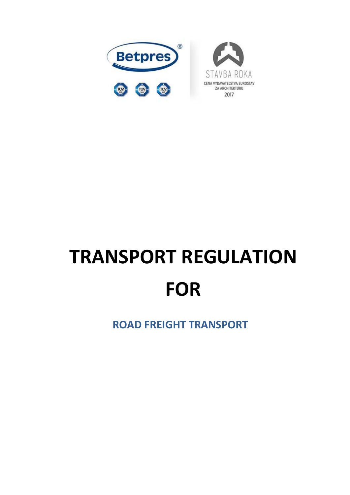

# **TRANSPORT REGULATION FOR**

**ROAD FREIGHT TRANSPORT**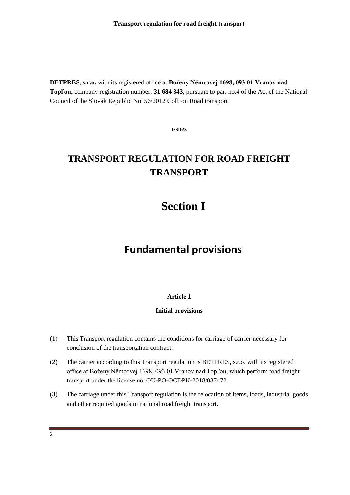**BETPRES, s.r.o.** with its registered office at **Boženy Němcovej 1698, 093 01 Vranov nad Topľou,** company registration number: **31 684 343**, pursuant to par. no.4 of the Act of the National Council of the Slovak Republic No. 56/2012 Coll. on Road transport

issues

## **TRANSPORT REGULATION FOR ROAD FREIGHT TRANSPORT**

## **Section I**

## **Fundamental provisions**

#### **Article 1**

#### **Initial provisions**

- (1) This Transport regulation contains the conditions for carriage of carrier necessary for conclusion of the transportation contract.
- (2) The carrier according to this Transport regulation is BETPRES, s.r.o. with its registered office at Boženy Němcovej 1698, 093 01 Vranov nad Topľou, which perform road freight transport under the license no. OU-PO-OCDPK-2018/037472.
- (3) The carriage under this Transport regulation is the relocation of items, loads, industrial goods and other required goods in national road freight transport.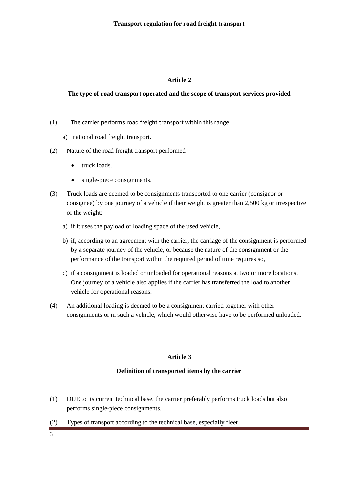#### **The type of road transport operated and the scope of transport services provided**

- (1) The carrier performs road freight transport within this range
	- a) national road freight transport.
- (2) Nature of the road freight transport performed
	- truck loads,
	- single-piece consignments.
- (3) Truck loads are deemed to be consignments transported to one carrier (consignor or consignee) by one journey of a vehicle if their weight is greater than 2,500 kg or irrespective of the weight:
	- a) if it uses the payload or loading space of the used vehicle,
	- b) if, according to an agreement with the carrier, the carriage of the consignment is performed by a separate journey of the vehicle, or because the nature of the consignment or the performance of the transport within the required period of time requires so,
	- c) if a consignment is loaded or unloaded for operational reasons at two or more locations. One journey of a vehicle also applies if the carrier has transferred the load to another vehicle for operational reasons.
- (4) An additional loading is deemed to be a consignment carried together with other consignments or in such a vehicle, which would otherwise have to be performed unloaded.

#### **Article 3**

#### **Definition of transported items by the carrier**

- (1) DUE to its current technical base, the carrier preferably performs truck loads but also performs single-piece consignments.
- (2) Types of transport according to the technical base, especially fleet
- 3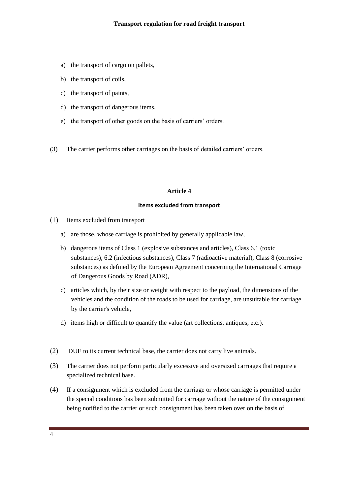- a) the transport of cargo on pallets,
- b) the transport of coils,
- c) the transport of paints,
- d) the transport of dangerous items,
- e) the transport of other goods on the basis of carriers' orders.
- (3) The carrier performs other carriages on the basis of detailed carriers' orders.

#### **Items excluded from transport**

- (1) Items excluded from transport
	- a) are those, whose carriage is prohibited by generally applicable law,
	- b) dangerous items of Class 1 (explosive substances and articles), Class 6.1 (toxic substances), 6.2 (infectious substances), Class 7 (radioactive material), Class 8 (corrosive substances) as defined by the European Agreement concerning the International Carriage of Dangerous Goods by Road (ADR),
	- c) articles which, by their size or weight with respect to the payload, the dimensions of the vehicles and the condition of the roads to be used for carriage, are unsuitable for carriage by the carrier's vehicle,
	- d) items high or difficult to quantify the value (art collections, antiques, etc.).
- (2) DUE to its current technical base, the carrier does not carry live animals.
- (3) The carrier does not perform particularly excessive and oversized carriages that require a specialized technical base.
- (4) If a consignment which is excluded from the carriage or whose carriage is permitted under the special conditions has been submitted for carriage without the nature of the consignment being notified to the carrier or such consignment has been taken over on the basis of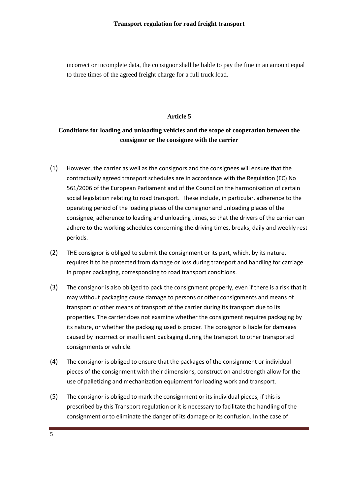incorrect or incomplete data, the consignor shall be liable to pay the fine in an amount equal to three times of the agreed freight charge for a full truck load.

#### **Article 5**

#### **Conditions for loading and unloading vehicles and the scope of cooperation between the consignor or the consignee with the carrier**

- (1) However, the carrier as well as the consignors and the consignees will ensure that the contractually agreed transport schedules are in accordance with the Regulation (EC) No 561/2006 of the European Parliament and of the Council on the harmonisation of certain social legislation relating to road transport. These include, in particular, adherence to the operating period of the loading places of the consignor and unloading places of the consignee, adherence to loading and unloading times, so that the drivers of the carrier can adhere to the working schedules concerning the driving times, breaks, daily and weekly rest periods.
- (2) THE consignor is obliged to submit the consignment or its part, which, by its nature, requires it to be protected from damage or loss during transport and handling for carriage in proper packaging, corresponding to road transport conditions.
- (3) The consignor is also obliged to pack the consignment properly, even if there is a risk that it may without packaging cause damage to persons or other consignments and means of transport or other means of transport of the carrier during its transport due to its properties. The carrier does not examine whether the consignment requires packaging by its nature, or whether the packaging used is proper. The consignor is liable for damages caused by incorrect or insufficient packaging during the transport to other transported consignments or vehicle.
- (4) The consignor is obliged to ensure that the packages of the consignment or individual pieces of the consignment with their dimensions, construction and strength allow for the use of palletizing and mechanization equipment for loading work and transport.
- (5) The consignor is obliged to mark the consignment or its individual pieces, if this is prescribed by this Transport regulation or it is necessary to facilitate the handling of the consignment or to eliminate the danger of its damage or its confusion. In the case of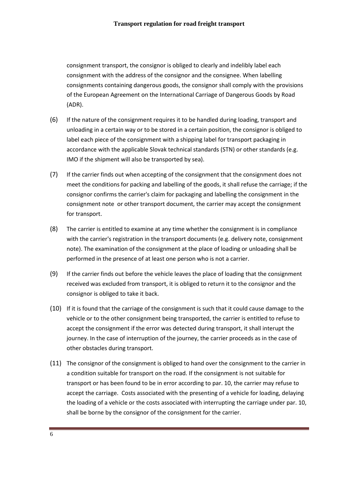consignment transport, the consignor is obliged to clearly and indelibly label each consignment with the address of the consignor and the consignee. When labelling consignments containing dangerous goods, the consignor shall comply with the provisions of the European Agreement on the International Carriage of Dangerous Goods by Road (ADR).

- (6) If the nature of the consignment requires it to be handled during loading, transport and unloading in a certain way or to be stored in a certain position, the consignor is obliged to label each piece of the consignment with a shipping label for transport packaging in accordance with the applicable Slovak technical standards (STN) or other standards (e.g. IMO if the shipment will also be transported by sea).
- (7) If the carrier finds out when accepting of the consignment that the consignment does not meet the conditions for packing and labelling of the goods, it shall refuse the carriage; if the consignor confirms the carrier's claim for packaging and labelling the consignment in the consignment note or other transport document, the carrier may accept the consignment for transport.
- (8) The carrier is entitled to examine at any time whether the consignment is in compliance with the carrier's registration in the transport documents (e.g. delivery note, consignment note). The examination of the consignment at the place of loading or unloading shall be performed in the presence of at least one person who is not a carrier.
- (9) If the carrier finds out before the vehicle leaves the place of loading that the consignment received was excluded from transport, it is obliged to return it to the consignor and the consignor is obliged to take it back.
- (10) If it is found that the carriage of the consignment is such that it could cause damage to the vehicle or to the other consignment being transported, the carrier is entitled to refuse to accept the consignment if the error was detected during transport, it shall interupt the journey. In the case of interruption of the journey, the carrier proceeds as in the case of other obstacles during transport.
- (11) The consignor of the consignment is obliged to hand over the consignment to the carrier in a condition suitable for transport on the road. If the consignment is not suitable for transport or has been found to be in error according to par. 10, the carrier may refuse to accept the carriage. Costs associated with the presenting of a vehicle for loading, delaying the loading of a vehicle or the costs associated with interrupting the carriage under par. 10, shall be borne by the consignor of the consignment for the carrier.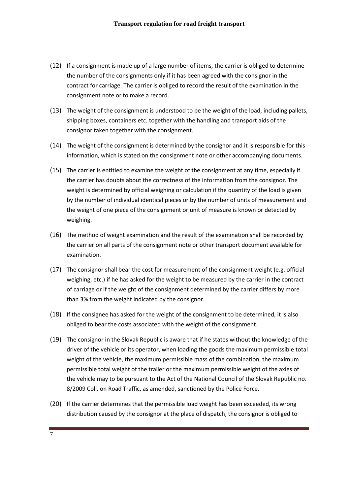- (12) If a consignment is made up of a large number of items, the carrier is obliged to determine the number of the consignments only if it has been agreed with the consignor in the contract for carriage. The carrier is obliged to record the result of the examination in the consignment note or to make a record.
- (13) The weight of the consignment is understood to be the weight of the load, including pallets, shipping boxes, containers etc. together with the handling and transport aids of the consignor taken together with the consignment.
- (14) The weight of the consignment is determined by the consignor and it is responsible for this information, which is stated on the consignment note or other accompanying documents.
- (15) The carrier is entitled to examine the weight of the consignment at any time, especially if the carrier has doubts about the correctness of the information from the consignor. The weight is determined by official weighing or calculation if the quantity of the load is given by the number of individual identical pieces or by the number of units of measurement and the weight of one piece of the consignment or unit of measure is known or detected by weighing.
- (16) The method of weight examination and the result of the examination shall be recorded by the carrier on all parts of the consignment note or other transport document available for examination.
- (17) The consignor shall bear the cost for measurement of the consignment weight (e.g. official weighing, etc.) if he has asked for the weight to be measured by the carrier in the contract of carriage or if the weight of the consignment determined by the carrier differs by more than 3% from the weight indicated by the consignor.
- (18) If the consignee has asked for the weight of the consignment to be determined, it is also obliged to bear the costs associated with the weight of the consignment.
- (19) The consignor in the Slovak Republic is aware that if he states without the knowledge of the driver of the vehicle or its operator, when loading the goods the maximum permissible total weight of the vehicle, the maximum permissible mass of the combination, the maximum permissible total weight of the trailer or the maximum permissible weight of the axles of the vehicle may to be pursuant to the Act of the National Council of the Slovak Republic no. 8/2009 Coll. on Road Traffic, as amended, sanctioned by the Police Force.
- (20) If the carrier determines that the permissible load weight has been exceeded, its wrong distribution caused by the consignor at the place of dispatch, the consignor is obliged to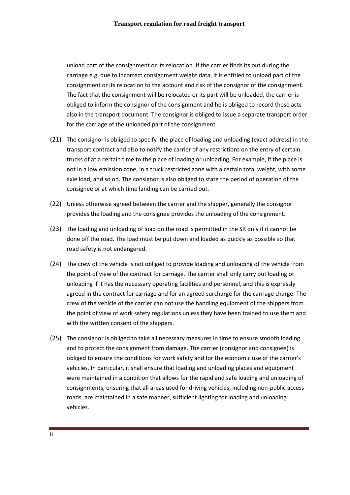unload part of the consignment or its relocation. If the carrier finds its out during the carriage e.g. due to incorrect consignment weight data, it is entitled to unload part of the consignment or its relocation to the account and risk of the consignor of the consignment. The fact that the consignment will be relocated or its part will be unloaded, the carrier is obliged to inform the consignor of the consignment and he is obliged to record these acts also in the transport document. The consignor is obliged to issue a separate transport order for the carriage of the unloaded part of the consignment.

- (21) The consignor is obliged to specify the place of loading and unloading (exact address) in the transport contract and also to notify the carrier of any restrictions on the entry of certain trucks of at a certain time to the place of loading or unloading. For example, if the place is not in a low emission zone, in a truck restricted zone with a certain total weight, with some axle load, and so on. The consignor is also obliged to state the period of operation of the consignee or at which time landing can be carried out.
- (22) Unless otherwise agreed between the carrier and the shipper, generally the consignor provides the loading and the consignee provides the unloading of the consignment.
- (23) The loading and unloading of load on the road is permitted in the SR only if it cannot be done off the road. The load must be put down and loaded as quickly as possible so that road safety is not endangered.
- (24) The crew of the vehicle is not obliged to provide loading and unloading of the vehicle from the point of view of the contract for carriage. The carrier shall only carry out loading or unloading if it has the necessary operating facilities and personnel, and this is expressly agreed in the contract for carriage and for an agreed surcharge for the carriage charge. The crew of the vehicle of the carrier can not use the handling equipment of the shippers from the point of view of work safety regulations unless they have been trained to use them and with the written consent of the shippers.
- (25) The consignor is obliged to take all necessary measures in time to ensure smooth loading and to protect the consignment from damage. The carrier (consignor and consignee) is obliged to ensure the conditions for work safety and for the economic use of the carrier's vehicles. In particular, it shall ensure that loading and unloading places and equipment were maintained in a condition that allows for the rapid and safe loading and unloading of consignments, ensuring that all areas used for driving vehicles, including non-public access roads, are maintained in a safe manner, sufficient lighting for loading and unloading vehicles.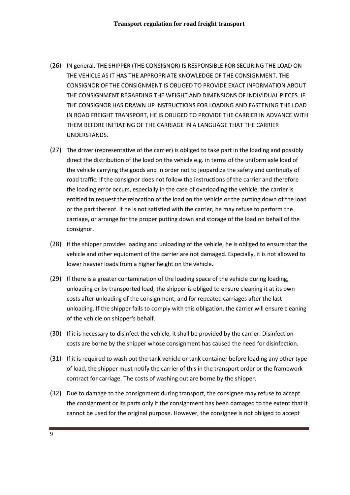- (26) IN general, THE SHIPPER (THE CONSIGNOR) IS RESPONSIBLE FOR SECURING THE LOAD ON THE VEHICLE AS IT HAS THE APPROPRIATE KNOWLEDGE OF THE CONSIGNMENT. THE CONSIGNOR OF THE CONSIGNMENT IS OBLIGED TO PROVIDE EXACT INFORMATION ABOUT THE CONSIGNMENT REGARDING THE WEIGHT AND DIMENSIONS OF INDIVIDUAL PIECES. IF THE CONSIGNOR HAS DRAWN UP INSTRUCTIONS FOR LOADING AND FASTENING THE LOAD IN ROAD FREIGHT TRANSPORT, HE IS OBLIGED TO PROVIDE THE CARRIER IN ADVANCE WITH THEM BEFORE INITIATING OF THE CARRIAGE IN A LANGUAGE THAT THE CARRIER UNDERSTANDS.
- (27) The driver (representative of the carrier) is obliged to take part in the loading and possibly direct the distribution of the load on the vehicle e.g. in terms of the uniform axle load of the vehicle carrying the goods and in order not to jeopardize the safety and continuity of road traffic. If the consignor does not follow the instructions of the carrier and therefore the loading error occurs, especially in the case of overloading the vehicle, the carrier is entitled to request the relocation of the load on the vehicle or the putting down of the load or the part thereof. If he is not satisfied with the carrier, he may refuse to perform the carriage, or arrange for the proper putting down and storage of the load on behalf of the consignor.
- (28) If the shipper provides loading and unloading of the vehicle, he is obliged to ensure that the vehicle and other equipment of the carrier are not damaged. Especially, it is not allowed to lower heavier loads from a higher height on the vehicle.
- (29) If there is a greater contamination of the loading space of the vehicle during loading, unloading or by transported load, the shipper is obliged to ensure cleaning it at its own costs after unloading of the consignment, and for repeated carriages after the last unloading. If the shipper fails to comply with this obligation, the carrier will ensure cleaning of the vehicle on shipper's behalf.
- (30) If it is necessary to disinfect the vehicle, it shall be provided by the carrier. Disinfection costs are borne by the shipper whose consignment has caused the need for disinfection.
- (31) If it is required to wash out the tank vehicle or tank container before loading any other type of load, the shipper must notify the carrier of this in the transport order or the framework contract for carriage. The costs of washing out are borne by the shipper.
- (32) Due to damage to the consignment during transport, the consignee may refuse to accept the consignment or its parts only if the consignment has been damaged to the extent that it cannot be used for the original purpose. However, the consignee is not obliged to accept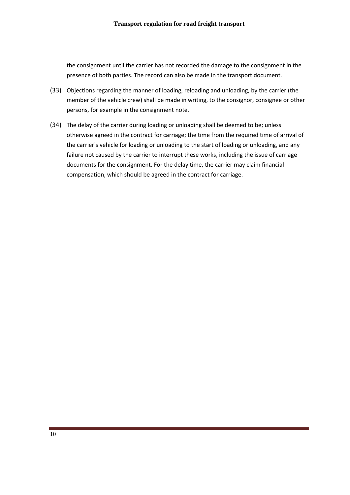the consignment until the carrier has not recorded the damage to the consignment in the presence of both parties. The record can also be made in the transport document.

- (33) Objections regarding the manner of loading, reloading and unloading, by the carrier (the member of the vehicle crew) shall be made in writing, to the consignor, consignee or other persons, for example in the consignment note.
- (34) The delay of the carrier during loading or unloading shall be deemed to be; unless otherwise agreed in the contract for carriage; the time from the required time of arrival of the carrier's vehicle for loading or unloading to the start of loading or unloading, and any failure not caused by the carrier to interrupt these works, including the issue of carriage documents for the consignment. For the delay time, the carrier may claim financial compensation, which should be agreed in the contract for carriage.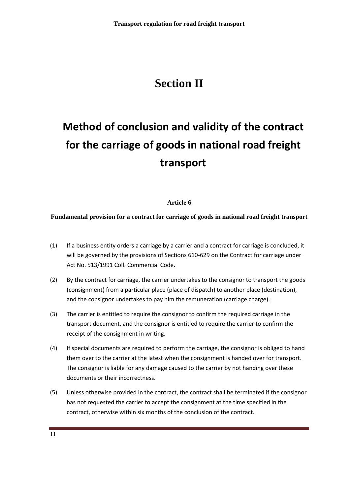# **Section II**

# **Method of conclusion and validity of the contract for the carriage of goods in national road freight transport**

#### **Article 6**

#### **Fundamental provision for a contract for carriage of goods in national road freight transport**

- (1) If a business entity orders a carriage by a carrier and a contract for carriage is concluded, it will be governed by the provisions of Sections 610-629 on the Contract for carriage under Act No. 513/1991 Coll. Commercial Code.
- (2) By the contract for carriage, the carrier undertakes to the consignor to transport the goods (consignment) from a particular place (place of dispatch) to another place (destination), and the consignor undertakes to pay him the remuneration (carriage charge).
- (3) The carrier is entitled to require the consignor to confirm the required carriage in the transport document, and the consignor is entitled to require the carrier to confirm the receipt of the consignment in writing.
- (4) If special documents are required to perform the carriage, the consignor is obliged to hand them over to the carrier at the latest when the consignment is handed over for transport. The consignor is liable for any damage caused to the carrier by not handing over these documents or their incorrectness.
- (5) Unless otherwise provided in the contract, the contract shall be terminated if the consignor has not requested the carrier to accept the consignment at the time specified in the contract, otherwise within six months of the conclusion of the contract.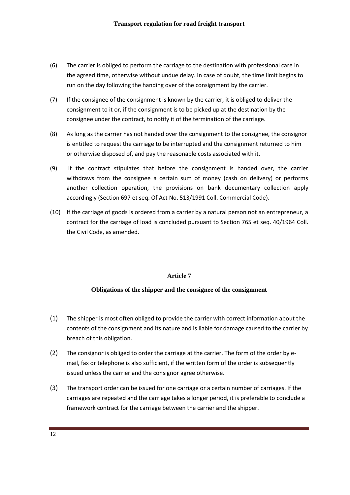- (6) The carrier is obliged to perform the carriage to the destination with professional care in the agreed time, otherwise without undue delay. In case of doubt, the time limit begins to run on the day following the handing over of the consignment by the carrier.
- (7) If the consignee of the consignment is known by the carrier, it is obliged to deliver the consignment to it or, if the consignment is to be picked up at the destination by the consignee under the contract, to notify it of the termination of the carriage.
- (8) As long as the carrier has not handed over the consignment to the consignee, the consignor is entitled to request the carriage to be interrupted and the consignment returned to him or otherwise disposed of, and pay the reasonable costs associated with it.
- (9) If the contract stipulates that before the consignment is handed over, the carrier withdraws from the consignee a certain sum of money (cash on delivery) or performs another collection operation, the provisions on bank documentary collection apply accordingly (Section 697 et seq. Of Act No. 513/1991 Coll. Commercial Code).
- (10) If the carriage of goods is ordered from a carrier by a natural person not an entrepreneur, a contract for the carriage of load is concluded pursuant to Section 765 et seq. 40/1964 Coll. the Civil Code, as amended.

#### **Obligations of the shipper and the consignee of the consignment**

- (1) The shipper is most often obliged to provide the carrier with correct information about the contents of the consignment and its nature and is liable for damage caused to the carrier by breach of this obligation.
- (2) The consignor is obliged to order the carriage at the carrier. The form of the order by email, fax or telephone is also sufficient, if the written form of the order is subsequently issued unless the carrier and the consignor agree otherwise.
- (3) The transport order can be issued for one carriage or a certain number of carriages. If the carriages are repeated and the carriage takes a longer period, it is preferable to conclude a framework contract for the carriage between the carrier and the shipper.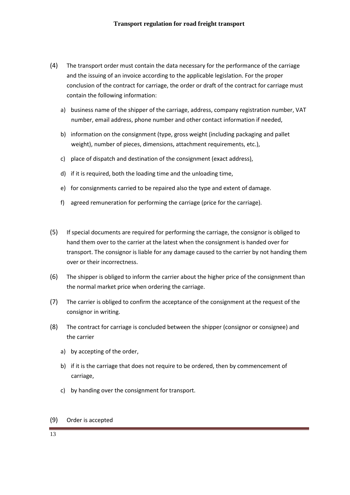- (4) The transport order must contain the data necessary for the performance of the carriage and the issuing of an invoice according to the applicable legislation. For the proper conclusion of the contract for carriage, the order or draft of the contract for carriage must contain the following information:
	- a) business name of the shipper of the carriage, address, company registration number, VAT number, email address, phone number and other contact information if needed,
	- b) information on the consignment (type, gross weight (including packaging and pallet weight), number of pieces, dimensions, attachment requirements, etc.),
	- c) place of dispatch and destination of the consignment (exact address),
	- d) if it is required, both the loading time and the unloading time,
	- e) for consignments carried to be repaired also the type and extent of damage.
	- f) agreed remuneration for performing the carriage (price for the carriage).
- (5) If special documents are required for performing the carriage, the consignor is obliged to hand them over to the carrier at the latest when the consignment is handed over for transport. The consignor is liable for any damage caused to the carrier by not handing them over or their incorrectness.
- (6) The shipper is obliged to inform the carrier about the higher price of the consignment than the normal market price when ordering the carriage.
- (7) The carrier is obliged to confirm the acceptance of the consignment at the request of the consignor in writing.
- (8) The contract for carriage is concluded between the shipper (consignor or consignee) and the carrier
	- a) by accepting of the order,
	- b) if it is the carriage that does not require to be ordered, then by commencement of carriage,
	- c) by handing over the consignment for transport.

#### (9) Order is accepted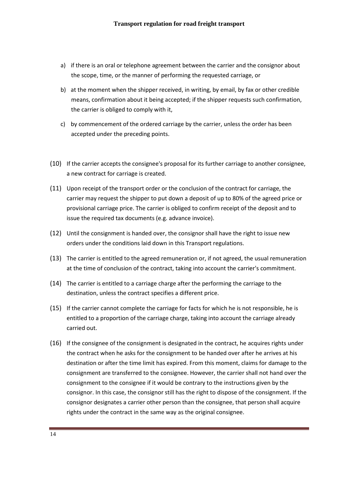- a) if there is an oral or telephone agreement between the carrier and the consignor about the scope, time, or the manner of performing the requested carriage, or
- b) at the moment when the shipper received, in writing, by email, by fax or other credible means, confirmation about it being accepted; if the shipper requests such confirmation, the carrier is obliged to comply with it,
- c) by commencement of the ordered carriage by the carrier, unless the order has been accepted under the preceding points.
- (10) If the carrier accepts the consignee's proposal for its further carriage to another consignee, a new contract for carriage is created.
- (11) Upon receipt of the transport order or the conclusion of the contract for carriage, the carrier may request the shipper to put down a deposit of up to 80% of the agreed price or provisional carriage price. The carrier is obliged to confirm receipt of the deposit and to issue the required tax documents (e.g. advance invoice).
- (12) Until the consignment is handed over, the consignor shall have the right to issue new orders under the conditions laid down in this Transport regulations.
- (13) The carrier is entitled to the agreed remuneration or, if not agreed, the usual remuneration at the time of conclusion of the contract, taking into account the carrier's commitment.
- (14) The carrier is entitled to a carriage charge after the performing the carriage to the destination, unless the contract specifies a different price.
- (15) If the carrier cannot complete the carriage for facts for which he is not responsible, he is entitled to a proportion of the carriage charge, taking into account the carriage already carried out.
- (16) If the consignee of the consignment is designated in the contract, he acquires rights under the contract when he asks for the consignment to be handed over after he arrives at his destination or after the time limit has expired. From this moment, claims for damage to the consignment are transferred to the consignee. However, the carrier shall not hand over the consignment to the consignee if it would be contrary to the instructions given by the consignor. In this case, the consignor still has the right to dispose of the consignment. If the consignor designates a carrier other person than the consignee, that person shall acquire rights under the contract in the same way as the original consignee.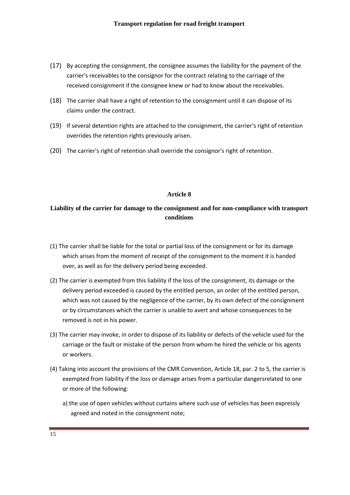- (17) By accepting the consignment, the consignee assumes the liability for the payment of the carrier's receivables to the consignor for the contract relating to the carriage of the received consignment if the consignee knew or had to know about the receivables.
- (18) The carrier shall have a right of retention to the consignment until it can dispose of its claims under the contract.
- (19) If several detention rights are attached to the consignment, the carrier's right of retention overrides the retention rights previously arisen.
- (20) The carrier's right of retention shall override the consignor's right of retention.

#### **Liability of the carrier for damage to the consignment and for non-compliance with transport conditions**

- (1) The carrier shall be liable for the total or partial loss of the consignment or for its damage which arises from the moment of receipt of the consignment to the moment it is handed over, as well as for the delivery period being exceeded.
- (2) The carrier is exempted from this liability if the loss of the consignment, its damage or the delivery period exceeded is caused by the entitled person, an order of the entitled person, which was not caused by the negligence of the carrier, by its own defect of the consignment or by circumstances which the carrier is unable to avert and whose consequences to be removed is not in his power.
- (3) The carrier may invoke, in order to dispose of its liability or defects of the vehicle used for the carriage or the fault or mistake of the person from whom he hired the vehicle or his agents or workers.
- (4) Taking into account the provisions of the CMR Convention, Article 18, par. 2 to 5, the carrier is exempted from liability if the loss or damage arises from a particular dangersrelated to one or more of the following:
	- a) the use of open vehicles without curtains where such use of vehicles has been expressly agreed and noted in the consignment note;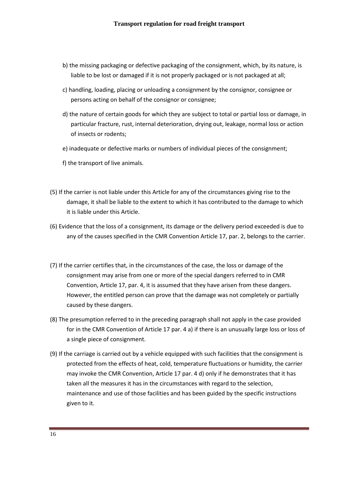- b) the missing packaging or defective packaging of the consignment, which, by its nature, is liable to be lost or damaged if it is not properly packaged or is not packaged at all;
- c) handling, loading, placing or unloading a consignment by the consignor, consignee or persons acting on behalf of the consignor or consignee;
- d) the nature of certain goods for which they are subject to total or partial loss or damage, in particular fracture, rust, internal deterioration, drying out, leakage, normal loss or action of insects or rodents;
- e) inadequate or defective marks or numbers of individual pieces of the consignment;
- f) the transport of live animals.
- (5) If the carrier is not liable under this Article for any of the circumstances giving rise to the damage, it shall be liable to the extent to which it has contributed to the damage to which it is liable under this Article.
- (6) Evidence that the loss of a consignment, its damage or the delivery period exceeded is due to any of the causes specified in the CMR Convention Article 17, par. 2, belongs to the carrier.
- (7) If the carrier certifies that, in the circumstances of the case, the loss or damage of the consignment may arise from one or more of the special dangers referred to in CMR Convention, Article 17, par. 4, it is assumed that they have arisen from these dangers. However, the entitled person can prove that the damage was not completely or partially caused by these dangers.
- (8) The presumption referred to in the preceding paragraph shall not apply in the case provided for in the CMR Convention of Article 17 par. 4 a) if there is an unusually large loss or loss of a single piece of consignment.
- (9) If the carriage is carried out by a vehicle equipped with such facilities that the consignment is protected from the effects of heat, cold, temperature fluctuations or humidity, the carrier may invoke the CMR Convention, Article 17 par. 4 d) only if he demonstrates that it has taken all the measures it has in the circumstances with regard to the selection, maintenance and use of those facilities and has been guided by the specific instructions given to it.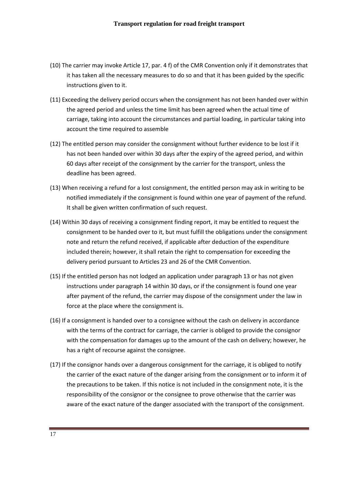- (10) The carrier may invoke Article 17, par. 4 f) of the CMR Convention only if it demonstrates that it has taken all the necessary measures to do so and that it has been guided by the specific instructions given to it.
- (11) Exceeding the delivery period occurs when the consignment has not been handed over within the agreed period and unless the time limit has been agreed when the actual time of carriage, taking into account the circumstances and partial loading, in particular taking into account the time required to assemble
- (12) The entitled person may consider the consignment without further evidence to be lost if it has not been handed over within 30 days after the expiry of the agreed period, and within 60 days after receipt of the consignment by the carrier for the transport, unless the deadline has been agreed.
- (13) When receiving a refund for a lost consignment, the entitled person may ask in writing to be notified immediately if the consignment is found within one year of payment of the refund. It shall be given written confirmation of such request.
- (14) Within 30 days of receiving a consignment finding report, it may be entitled to request the consignment to be handed over to it, but must fulfill the obligations under the consignment note and return the refund received, if applicable after deduction of the expenditure included therein; however, it shall retain the right to compensation for exceeding the delivery period pursuant to Articles 23 and 26 of the CMR Convention.
- (15) If the entitled person has not lodged an application under paragraph 13 or has not given instructions under paragraph 14 within 30 days, or if the consignment is found one year after payment of the refund, the carrier may dispose of the consignment under the law in force at the place where the consignment is.
- (16) If a consignment is handed over to a consignee without the cash on delivery in accordance with the terms of the contract for carriage, the carrier is obliged to provide the consignor with the compensation for damages up to the amount of the cash on delivery; however, he has a right of recourse against the consignee.
- (17) If the consignor hands over a dangerous consignment for the carriage, it is obliged to notify the carrier of the exact nature of the danger arising from the consignment or to inform it of the precautions to be taken. If this notice is not included in the consignment note, it is the responsibility of the consignor or the consignee to prove otherwise that the carrier was aware of the exact nature of the danger associated with the transport of the consignment.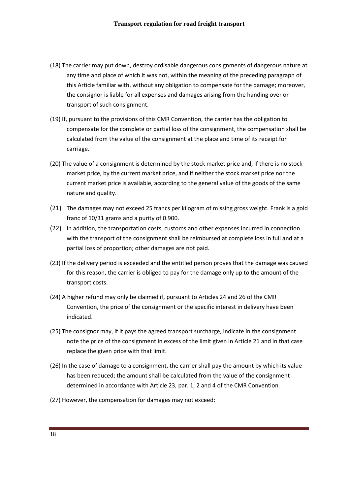- (18) The carrier may put down, destroy ordisable dangerous consignments of dangerous nature at any time and place of which it was not, within the meaning of the preceding paragraph of this Article familiar with, without any obligation to compensate for the damage; moreover, the consignor is liable for all expenses and damages arising from the handing over or transport of such consignment.
- (19) If, pursuant to the provisions of this CMR Convention, the carrier has the obligation to compensate for the complete or partial loss of the consignment, the compensation shall be calculated from the value of the consignment at the place and time of its receipt for carriage.
- (20) The value of a consignment is determined by the stock market price and, if there is no stock market price, by the current market price, and if neither the stock market price nor the current market price is available, according to the general value of the goods of the same nature and quality.
- (21) The damages may not exceed 25 francs per kilogram of missing gross weight. Frank is a gold franc of 10/31 grams and a purity of 0.900.
- (22) In addition, the transportation costs, customs and other expenses incurred in connection with the transport of the consignment shall be reimbursed at complete loss in full and at a partial loss of proportion; other damages are not paid.
- (23) If the delivery period is exceeded and the entitled person proves that the damage was caused for this reason, the carrier is obliged to pay for the damage only up to the amount of the transport costs.
- (24) A higher refund may only be claimed if, pursuant to Articles 24 and 26 of the CMR Convention, the price of the consignment or the specific interest in delivery have been indicated.
- (25) The consignor may, if it pays the agreed transport surcharge, indicate in the consignment note the price of the consignment in excess of the limit given in Article 21 and in that case replace the given price with that limit.
- (26) In the case of damage to a consignment, the carrier shall pay the amount by which its value has been reduced; the amount shall be calculated from the value of the consignment determined in accordance with Article 23, par. 1, 2 and 4 of the CMR Convention.
- (27) However, the compensation for damages may not exceed: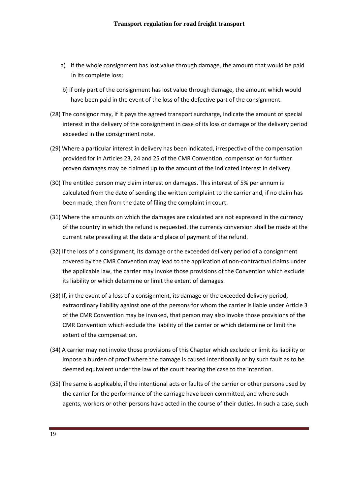- a) if the whole consignment has lost value through damage, the amount that would be paid in its complete loss;
- b) if only part of the consignment has lost value through damage, the amount which would have been paid in the event of the loss of the defective part of the consignment.
- (28) The consignor may, if it pays the agreed transport surcharge, indicate the amount of special interest in the delivery of the consignment in case of its loss or damage or the delivery period exceeded in the consignment note.
- (29) Where a particular interest in delivery has been indicated, irrespective of the compensation provided for in Articles 23, 24 and 25 of the CMR Convention, compensation for further proven damages may be claimed up to the amount of the indicated interest in delivery.
- (30) The entitled person may claim interest on damages. This interest of 5% per annum is calculated from the date of sending the written complaint to the carrier and, if no claim has been made, then from the date of filing the complaint in court.
- (31) Where the amounts on which the damages are calculated are not expressed in the currency of the country in which the refund is requested, the currency conversion shall be made at the current rate prevailing at the date and place of payment of the refund.
- (32) If the loss of a consignment, its damage or the exceeded delivery period of a consignment covered by the CMR Convention may lead to the application of non-contractual claims under the applicable law, the carrier may invoke those provisions of the Convention which exclude its liability or which determine or limit the extent of damages.
- (33) If, in the event of a loss of a consignment, its damage or the exceeded delivery period, extraordinary liability against one of the persons for whom the carrier is liable under Article 3 of the CMR Convention may be invoked, that person may also invoke those provisions of the CMR Convention which exclude the liability of the carrier or which determine or limit the extent of the compensation.
- (34) A carrier may not invoke those provisions of this Chapter which exclude or limit its liability or impose a burden of proof where the damage is caused intentionally or by such fault as to be deemed equivalent under the law of the court hearing the case to the intention.
- (35) The same is applicable, if the intentional acts or faults of the carrier or other persons used by the carrier for the performance of the carriage have been committed, and where such agents, workers or other persons have acted in the course of their duties. In such a case, such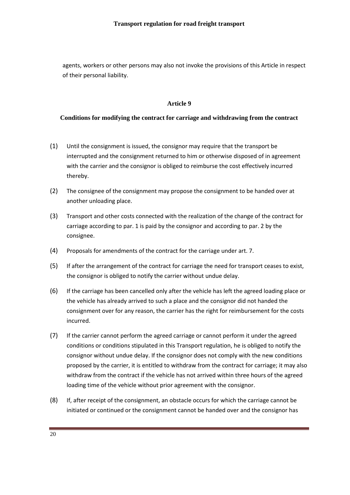agents, workers or other persons may also not invoke the provisions of this Article in respect of their personal liability.

#### **Article 9**

#### **Conditions for modifying the contract for carriage and withdrawing from the contract**

- (1) Until the consignment is issued, the consignor may require that the transport be interrupted and the consignment returned to him or otherwise disposed of in agreement with the carrier and the consignor is obliged to reimburse the cost effectively incurred thereby.
- (2) The consignee of the consignment may propose the consignment to be handed over at another unloading place.
- (3) Transport and other costs connected with the realization of the change of the contract for carriage according to par. 1 is paid by the consignor and according to par. 2 by the consignee.
- (4) Proposals for amendments of the contract for the carriage under art. 7.
- (5) If after the arrangement of the contract for carriage the need for transport ceases to exist, the consignor is obliged to notify the carrier without undue delay.
- (6) If the carriage has been cancelled only after the vehicle has left the agreed loading place or the vehicle has already arrived to such a place and the consignor did not handed the consignment over for any reason, the carrier has the right for reimbursement for the costs incurred.
- (7) If the carrier cannot perform the agreed carriage or cannot perform it under the agreed conditions or conditions stipulated in this Transport regulation, he is obliged to notify the consignor without undue delay. If the consignor does not comply with the new conditions proposed by the carrier, it is entitled to withdraw from the contract for carriage; it may also withdraw from the contract if the vehicle has not arrived within three hours of the agreed loading time of the vehicle without prior agreement with the consignor.
- (8) If, after receipt of the consignment, an obstacle occurs for which the carriage cannot be initiated or continued or the consignment cannot be handed over and the consignor has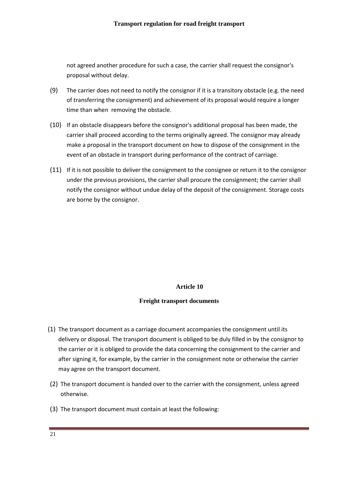not agreed another procedure for such a case, the carrier shall request the consignor's proposal without delay.

- (9) The carrier does not need to notify the consignor if it is a transitory obstacle (e.g. the need of transferring the consignment) and achievement of its proposal would require a longer time than when removing the obstacle.
- (10) If an obstacle disappears before the consignor's additional proposal has been made, the carrier shall proceed according to the terms originally agreed. The consignor may already make a proposal in the transport document on how to dispose of the consignment in the event of an obstacle in transport during performance of the contract of carriage.
- (11) If it is not possible to deliver the consignment to the consignee or return it to the consignor under the previous provisions, the carrier shall procure the consignment; the carrier shall notify the consignor without undue delay of the deposit of the consignment. Storage costs are borne by the consignor.

#### **Article 10**

#### **Freight transport documents**

- (1) The transport document as a carriage document accompanies the consignment until its delivery or disposal. The transport document is obliged to be duly filled in by the consignor to the carrier or it is obliged to provide the data concerning the consignment to the carrier and after signing it, for example, by the carrier in the consignment note or otherwise the carrier may agree on the transport document.
- (2) The transport document is handed over to the carrier with the consignment, unless agreed otherwise.
- (3) The transport document must contain at least the following: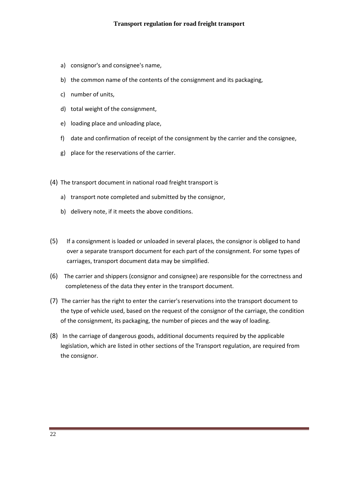- a) consignor's and consignee's name,
- b) the common name of the contents of the consignment and its packaging,
- c) number of units,
- d) total weight of the consignment,
- e) loading place and unloading place,
- f) date and confirmation of receipt of the consignment by the carrier and the consignee,
- g) place for the reservations of the carrier.
- (4) The transport document in national road freight transport is
	- a) transport note completed and submitted by the consignor,
	- b) delivery note, if it meets the above conditions.
- (5) If a consignment is loaded or unloaded in several places, the consignor is obliged to hand over a separate transport document for each part of the consignment. For some types of carriages, transport document data may be simplified.
- (6) The carrier and shippers (consignor and consignee) are responsible for the correctness and completeness of the data they enter in the transport document.
- (7) The carrier has the right to enter the carrier's reservations into the transport document to the type of vehicle used, based on the request of the consignor of the carriage, the condition of the consignment, its packaging, the number of pieces and the way of loading.
- (8) In the carriage of dangerous goods, additional documents required by the applicable legislation, which are listed in other sections of the Transport regulation, are required from the consignor.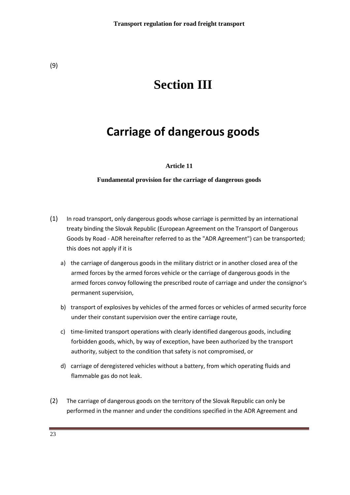# **Section III**

# **Carriage of dangerous goods**

#### **Article 11**

#### **Fundamental provision for the carriage of dangerous goods**

- (1) In road transport, only dangerous goods whose carriage is permitted by an international treaty binding the Slovak Republic (European Agreement on the Transport of Dangerous Goods by Road - ADR hereinafter referred to as the "ADR Agreement") can be transported; this does not apply if it is
	- a) the carriage of dangerous goods in the military district or in another closed area of the armed forces by the armed forces vehicle or the carriage of dangerous goods in the armed forces convoy following the prescribed route of carriage and under the consignor's permanent supervision,
	- b) transport of explosives by vehicles of the armed forces or vehicles of armed security force under their constant supervision over the entire carriage route,
	- c) time-limited transport operations with clearly identified dangerous goods, including forbidden goods, which, by way of exception, have been authorized by the transport authority, subject to the condition that safety is not compromised, or
	- d) carriage of deregistered vehicles without a battery, from which operating fluids and flammable gas do not leak.
- (2) The carriage of dangerous goods on the territory of the Slovak Republic can only be performed in the manner and under the conditions specified in the ADR Agreement and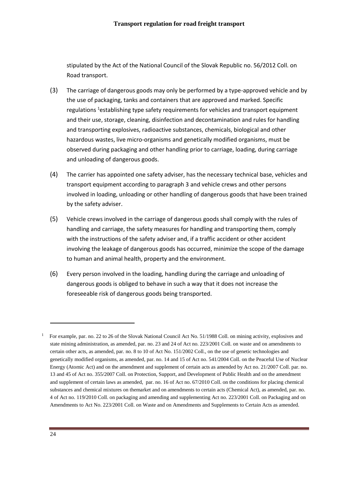stipulated by the Act of the National Council of the Slovak Republic no. 56/2012 Coll. on Road transport.

- (3) The carriage of dangerous goods may only be performed by a type-approved vehicle and by the use of packaging, tanks and containers that are approved and marked. Specific regulations <sup>1</sup>establishing type safety requirements for vehicles and transport equipment and their use, storage, cleaning, disinfection and decontamination and rules for handling and transporting explosives, radioactive substances, chemicals, biological and other hazardous wastes, live micro-organisms and genetically modified organisms, must be observed during packaging and other handling prior to carriage, loading, during carriage and unloading of dangerous goods.
- (4) The carrier has appointed one safety adviser, has the necessary technical base, vehicles and transport equipment according to paragraph 3 and vehicle crews and other persons involved in loading, unloading or other handling of dangerous goods that have been trained by the safety adviser.
- (5) Vehicle crews involved in the carriage of dangerous goods shall comply with the rules of handling and carriage, the safety measures for handling and transporting them, comply with the instructions of the safety adviser and, if a traffic accident or other accident involving the leakage of dangerous goods has occurred, minimize the scope of the damage to human and animal health, property and the environment.
- (6) Every person involved in the loading, handling during the carriage and unloading of dangerous goods is obliged to behave in such a way that it does not increase the foreseeable risk of dangerous goods being transported.

-

1

For example, par. no. 22 to 26 of the Slovak National Council Act No. 51/1988 Coll. on mining activity, explosives and state mining administration, as amended, par. no. 23 and 24 of Act no. 223/2001 Coll. on waste and on amendments to certain other acts, as amended, par. no. 8 to 10 of Act No. 151/2002 Coll., on the use of genetic technologies and genetically modified organisms, as amended, par. no. 14 and 15 of Act no. 541/2004 Coll. on the Peaceful Use of Nuclear Energy (Atomic Act) and on the amendment and supplement of certain acts as amended by Act no. 21/2007 Coll. par. no. 13 and 45 of Act no. 355/2007 Coll. on Protection, Support, and Development of Public Health and on the amendment and supplement of certain laws as amended, par. no. 16 of Act no. 67/2010 Coll. on the conditions for placing chemical substances and chemical mixtures on themarket and on amendments to certain acts (Chemical Act), as amended, par. no. 4 of Act no. 119/2010 Coll. on packaging and amending and supplementing Act no. 223/2001 Coll. on Packaging and on Amendments to Act No. 223/2001 Coll. on Waste and on Amendments and Supplements to Certain Acts as amended.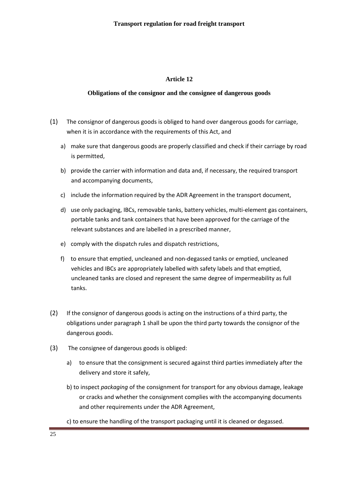#### **Obligations of the consignor and the consignee of dangerous goods**

- (1) The consignor of dangerous goods is obliged to hand over dangerous goods for carriage, when it is in accordance with the requirements of this Act, and
	- a) make sure that dangerous goods are properly classified and check if their carriage by road is permitted,
	- b) provide the carrier with information and data and, if necessary, the required transport and accompanying documents,
	- c) include the information required by the ADR Agreement in the transport document,
	- d) use only packaging, IBCs, removable tanks, battery vehicles, multi-element gas containers, portable tanks and tank containers that have been approved for the carriage of the relevant substances and are labelled in a prescribed manner,
	- e) comply with the dispatch rules and dispatch restrictions,
	- f) to ensure that emptied, uncleaned and non-degassed tanks or emptied, uncleaned vehicles and IBCs are appropriately labelled with safety labels and that emptied, uncleaned tanks are closed and represent the same degree of impermeability as full tanks.
- (2) If the consignor of dangerous goods is acting on the instructions of a third party, the obligations under paragraph 1 shall be upon the third party towards the consignor of the dangerous goods.
- (3) The consignee of dangerous goods is obliged:
	- a) to ensure that the consignment is secured against third parties immediately after the delivery and store it safely,
	- b) to inspect *packaging* of the consignment for transport for any obvious damage, leakage or cracks and whether the consignment complies with the accompanying documents and other requirements under the ADR Agreement,
	- c) to ensure the handling of the transport packaging until it is cleaned or degassed.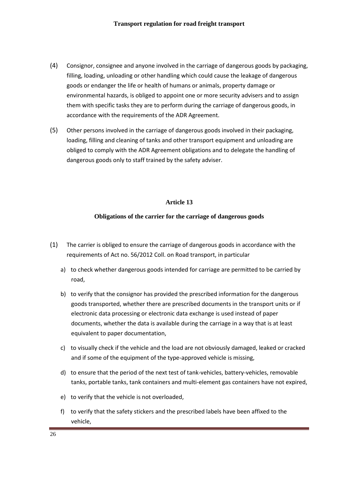- (4) Consignor, consignee and anyone involved in the carriage of dangerous goods by packaging, filling, loading, unloading or other handling which could cause the leakage of dangerous goods or endanger the life or health of humans or animals, property damage or environmental hazards, is obliged to appoint one or more security advisers and to assign them with specific tasks they are to perform during the carriage of dangerous goods, in accordance with the requirements of the ADR Agreement.
- (5) Other persons involved in the carriage of dangerous goods involved in their packaging, loading, filling and cleaning of tanks and other transport equipment and unloading are obliged to comply with the ADR Agreement obligations and to delegate the handling of dangerous goods only to staff trained by the safety adviser.

#### **Obligations of the carrier for the carriage of dangerous goods**

- (1) The carrier is obliged to ensure the carriage of dangerous goods in accordance with the requirements of Act no. 56/2012 Coll. on Road transport, in particular
	- a) to check whether dangerous goods intended for carriage are permitted to be carried by road,
	- b) to verify that the consignor has provided the prescribed information for the dangerous goods transported, whether there are prescribed documents in the transport units or if electronic data processing or electronic data exchange is used instead of paper documents, whether the data is available during the carriage in a way that is at least equivalent to paper documentation,
	- c) to visually check if the vehicle and the load are not obviously damaged, leaked or cracked and if some of the equipment of the type-approved vehicle is missing,
	- d) to ensure that the period of the next test of tank-vehicles, battery-vehicles, removable tanks, portable tanks, tank containers and multi-element gas containers have not expired,
	- e) to verify that the vehicle is not overloaded,
	- f) to verify that the safety stickers and the prescribed labels have been affixed to the vehicle,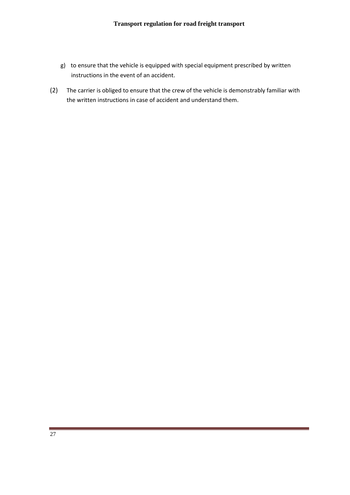- g) to ensure that the vehicle is equipped with special equipment prescribed by written instructions in the event of an accident.
- (2) The carrier is obliged to ensure that the crew of the vehicle is demonstrably familiar with the written instructions in case of accident and understand them.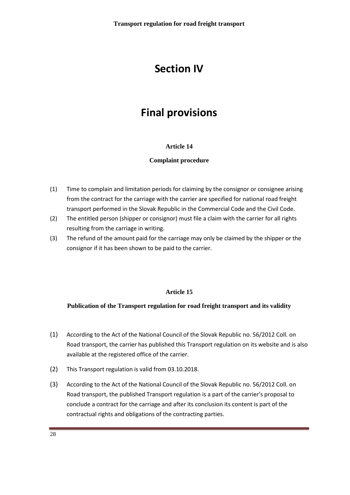### **Section IV**

## **Final provisions**

#### **Article 14**

#### **Complaint procedure**

- (1) Time to complain and limitation periods for claiming by the consignor or consignee arising from the contract for the carriage with the carrier are specified for national road freight transport performed in the Slovak Republic in the Commercial Code and the Civil Code.
- (2) The entitled person (shipper or consignor) must file a claim with the carrier for all rights resulting from the carriage in writing.
- (3) The refund of the amount paid for the carriage may only be claimed by the shipper or the consignor if it has been shown to be paid to the carrier.

#### **Article 15**

#### **Publication of the Transport regulation for road freight transport and its validity**

- (1) According to the Act of the National Council of the Slovak Republic no. 56/2012 Coll. on Road transport, the carrier has published this Transport regulation on its website and is also available at the registered office of the carrier.
- (2) This Transport regulation is valid from 03.10.2018.
- (3) According to the Act of the National Council of the Slovak Republic no. 56/2012 Coll. on Road transport, the published Transport regulation is a part of the carrier's proposal to conclude a contract for the carriage and after its conclusion its content is part of the contractual rights and obligations of the contracting parties.